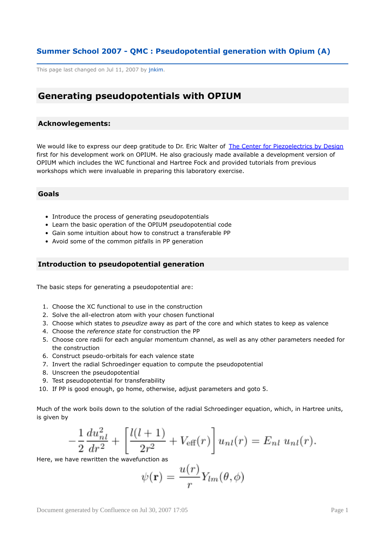# <span id="page-0-0"></span>**Summer School 2007 - QMC : Pseudopotential generation with Opium (A)**

This page last changed on Jul 11, 2007 by jnkim.

# **Generating pseudopotentials with OPIUM**

### **Acknowlegements:**

We would like to express our deep gratitude to Dr. Eric Walter of The Center for [Piezoelectrics](http://www.cpd.wm.edu) by Design first for his development work on OPIUM. He also graciously made available a development version of OPIUM which includes the WC functional and Hartree Fock and provided tutorials from previous workshops which were invaluable in preparing this laboratory exercise.

#### **Goals**

- Introduce the process of generating pseudopotentials
- Learn the basic operation of the OPIUM pseudopotential code
- Gain some intuition about how to construct a transferable PP
- Avoid some of the common pitfalls in PP generation

# **Introduction to pseudopotential generation**

The basic steps for generating a pseudopotential are:

- 1. Choose the XC functional to use in the construction
- 2. Solve the all-electron atom with your chosen functional
- 3. Choose which states to *pseudize* away as part of the core and which states to keep as valence
- 4. Choose the *reference state* for construction the PP
- 5. Choose core radii for each angular momentum channel, as well as any other parameters needed for the construction
- 6. Construct pseudo-orbitals for each valence state
- 7. Invert the radial Schroedinger equation to compute the pseudopotential
- 8. Unscreen the pseudopotential
- 9. Test pseudopotential for transferability
- 10. If PP is good enough, go home, otherwise, adjust parameters and goto 5.

Much of the work boils down to the solution of the radial Schroedinger equation, which, in Hartree units, is given by

$$
-\frac{1}{2}\frac{du_{nl}^2}{dr^2} + \left[\frac{l(l+1)}{2r^2} + V_{\text{eff}}(r)\right]u_{nl}(r) = E_{nl} u_{nl}(r).
$$

Here, we have rewritten the wavefunction as

$$
\psi(\mathbf{r})=\frac{u(r)}{r}Y_{lm}(\theta,\phi)
$$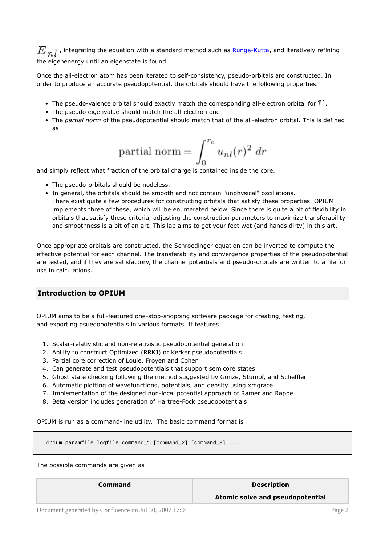$E_{m,l}$ , integrating the equation with a standard method such as **[Runge-Kutta](http://en.wikipedia.org/wiki/Runge-Kutta_methods)**, and iteratively refining the eigenenergy until an eigenstate is found.

Once the all-electron atom has been iterated to self-consistency, pseudo-orbitals are constructed. In order to produce an accurate pseudopotential, the orbitals should have the following properties.

- The pseudo-valence orbital should exactly match the corresponding all-electron orbital for  $T$  .
- The pseudo eigenvalue should match the all-electron one
- The *partial norm* of the pseudopotential should match that of the all-electron orbital. This is defined as

partial norm = 
$$
\int_0^{r_c} u_{nl}(r)^2 dr
$$

and simply reflect what fraction of the orbital charge is contained inside the core.

- The pseudo-orbitals should be nodeless.
- In general, the orbitals should be smooth and not contain "unphysical" oscillations. There exist quite a few procedures for constructing orbitals that satisfy these properties. OPIUM implements three of these, which will be enumerated below. Since there is quite a bit of flexibility in orbitals that satisfy these criteria, adjusting the construction parameters to maximize transferability and smoothness is a bit of an art. This lab aims to get your feet wet (and hands dirty) in this art.

Once appropriate orbitals are constructed, the Schroedinger equation can be inverted to compute the effective potential for each channel. The transferability and convergence properties of the pseudopotential are tested, and if they are satisfactory, the channel potentials and pseudo-orbitals are written to a file for use in calculations.

# **Introduction to OPIUM**

OPIUM aims to be a full-featured one-stop-shopping software package for creating, testing, and exporting psuedopotentials in various formats. It features:

- 1. Scalar-relativistic and non-relativistic pseudopotential generation
- 2. Ability to construct Optimized (RRKJ) or Kerker pseudopotentials
- 3. Partial core correction of Louie, Froyen and Cohen
- 4. Can generate and test pseudopotentials that support semicore states
- 5. Ghost state checking following the method suggested by Gonze, Stumpf, and Scheffler
- 6. Automatic plotting of wavefunctions, potentials, and density using xmgrace
- 7. Implementation of the designed non-local potential approach of Ramer and Rappe
- 8. Beta version includes generation of Hartree-Fock pseudopotentials

OPIUM is run as a command-line utility. The basic command format is

opium paramfile logfile command\_1 [command\_2] [command\_3] ...

#### The possible commands are given as

| <b>Command</b> | <b>Description</b>               |
|----------------|----------------------------------|
|                | Atomic solve and pseudopotential |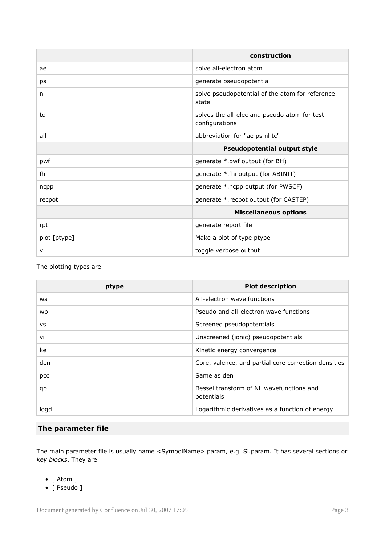|              | construction                                                   |
|--------------|----------------------------------------------------------------|
| ae           | solve all-electron atom                                        |
| ps           | generate pseudopotential                                       |
| nl           | solve pseudopotential of the atom for reference<br>state       |
| tc           | solves the all-elec and pseudo atom for test<br>configurations |
| all          | abbreviation for "ae ps nl tc"                                 |
|              | <b>Pseudopotential output style</b>                            |
| pwf          | generate *.pwf output (for BH)                                 |
| fhi          | generate *.fhi output (for ABINIT)                             |
| ncpp         | generate *.ncpp output (for PWSCF)                             |
| recpot       | generate *.recpot output (for CASTEP)                          |
|              | <b>Miscellaneous options</b>                                   |
| rpt          | generate report file                                           |
| plot [ptype] | Make a plot of type ptype                                      |
| v            | toggle verbose output                                          |

The plotting types are

| ptype     | <b>Plot description</b>                                |
|-----------|--------------------------------------------------------|
| wa        | All-electron wave functions                            |
| wp        | Pseudo and all-electron wave functions                 |
| <b>VS</b> | Screened pseudopotentials                              |
| vi        | Unscreened (ionic) pseudopotentials                    |
| ke        | Kinetic energy convergence                             |
| den       | Core, valence, and partial core correction densities   |
| pcc       | Same as den                                            |
| qp        | Bessel transform of NL wavefunctions and<br>potentials |
| logd      | Logarithmic derivatives as a function of energy        |

# **The parameter file**

The main parameter file is usually name <SymbolName>.param, e.g. Si.param. It has several sections or *key blocks*. They are

- [ Atom ]
- [ Pseudo ]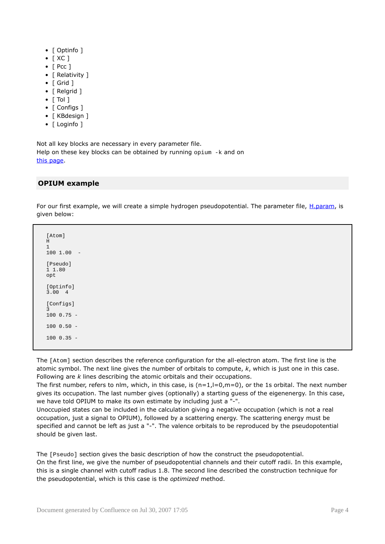- [ Optinfo ]
- [ XC ]
- [ Pcc ]
- [ Relativity ]
- [ Grid ]
- [ Relgrid ]
- $\bullet$  [ Tol ]
- [ Configs ]
- [ KBdesign ]
- [ Loginfo ]

Not all key blocks are necessary in every parameter file. Help on these key blocks can be obtained by running opium -k and on this [page](http://opium.sourceforge.net/guide.html).

# **OPIUM example**

For our first example, we will create a simple hydrogen pseudopotential. The parameter file, [H.param](http://cms.mcc.uiuc.edu/download/attachments/6193211/H.param?version=1), is given below:

[Atom] H 1 100 1.00 - [Pseudo] 1 1.80 opt [Optinfo] 3.00 4 [Configs] 3 100 0.75 - 100 0.50 -  $100035 =$ 

The [Atom] section describes the reference configuration for the all-electron atom. The first line is the atomic symbol. The next line gives the number of orbitals to compute, *k*, which is just one in this case. Following are *k* lines describing the atomic orbitals and their occupations.

The first number, refers to nlm, which, in this case, is  $(n=1, l=0, m=0)$ , or the 1s orbital. The next number gives its occupation. The last number gives (optionally) a starting guess of the eigenenergy. In this case, we have told OPIUM to make its own estimate by including just a "-".

Unoccupied states can be included in the calculation giving a negative occupation (which is not a real occupation, just a signal to OPIUM), followed by a scattering energy. The scattering energy must be specified and cannot be left as just a "-". The valence orbitals to be reproduced by the pseudopotential should be given last.

The [Pseudo] section gives the basic description of how the construct the pseudopotential. On the first line, we give the number of pseudopotential channels and their cutoff radii. In this example, this is a single channel with cutoff radius 1.8. The second line described the construction technique for the pseudopotential, which is this case is the *optimized* method.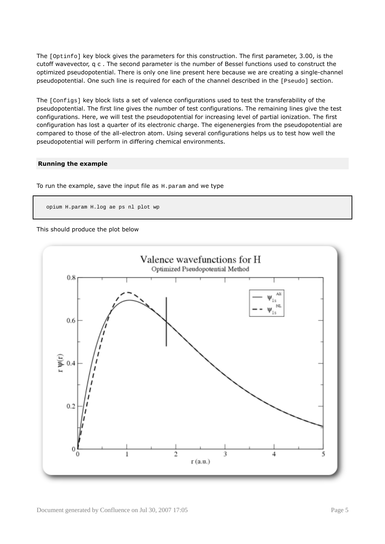The [Optinfo] key block gives the parameters for this construction. The first parameter, 3.00, is the cutoff wavevector, q c . The second parameter is the number of Bessel functions used to construct the optimized pseudopotential. There is only one line present here because we are creating a single-channel pseudopotential. One such line is required for each of the channel described in the [Pseudo] section.

The [Configs] key block lists a set of valence configurations used to test the transferability of the pseudopotential. The first line gives the number of test configurations. The remaining lines give the test configurations. Here, we will test the pseudopotential for increasing level of partial ionization. The first configuration has lost a quarter of its electronic charge. The eigenenergies from the pseudopotential are compared to those of the all-electron atom. Using several configurations helps us to test how well the pseudopotential will perform in differing chemical environments.

#### **Running the example**

To run the example, save the input file as  $H.param$  and we type

```
opium H.param H.log ae ps nl plot wp
```
#### This should produce the plot below

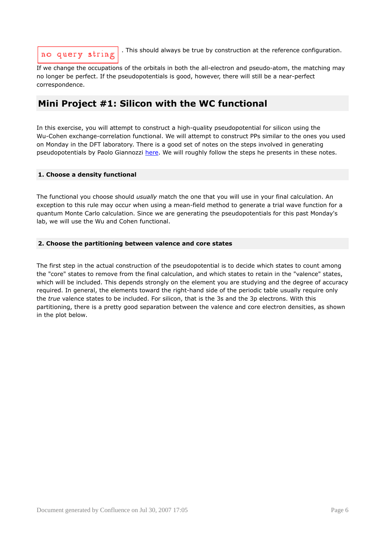# no query string

. This should always be true by construction at the reference configuration.

If we change the occupations of the orbitals in both the all-electron and pseudo-atom, the matching may no longer be perfect. If the pseudopotentials is good, however, there will still be a near-perfect correspondence.

# **Mini Project #1: Silicon with the WC functional**

In this exercise, you will attempt to construct a high-quality pseudopotential for silicon using the Wu-Cohen exchange-correlation functional. We will attempt to construct PPs similar to the ones you used on Monday in the DFT laboratory. There is a good set of notes on the steps involved in generating pseudopotentials by Paolo Giannozzi [here.](#page-0-0) We will roughly follow the steps he presents in these notes.

# **1. Choose a density functional**

The functional you choose should *usually* match the one that you will use in your final calculation. An exception to this rule may occur when using a mean-field method to generate a trial wave function for a quantum Monte Carlo calculation. Since we are generating the pseudopotentials for this past Monday's lab, we will use the Wu and Cohen functional.

# **2. Choose the partitioning between valence and core states**

The first step in the actual construction of the pseudopotential is to decide which states to count among the "core" states to remove from the final calculation, and which states to retain in the "valence" states, which will be included. This depends strongly on the element you are studying and the degree of accuracy required. In general, the elements toward the right-hand side of the periodic table usually require only the *true* valence states to be included. For silicon, that is the 3s and the 3p electrons. With this partitioning, there is a pretty good separation between the valence and core electron densities, as shown in the plot below.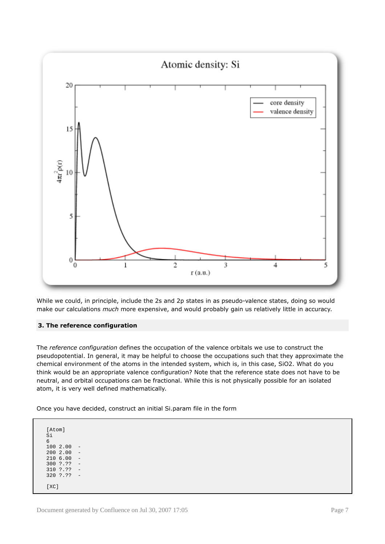

While we could, in principle, include the 2s and 2p states in as pseudo-valence states, doing so would make our calculations *much* more expensive, and would probably gain us relatively little in accuracy.

# **3. The reference configuration**

The *reference configuration* defines the occupation of the valence orbitals we use to construct the pseudopotential. In general, it may be helpful to choose the occupations such that they approximate the chemical environment of the atoms in the intended system, which is, in this case, SiO2. What do you think would be an appropriate valence configuration? Note that the reference state does not have to be neutral, and orbital occupations can be fractional. While this is not physically possible for an isolated atom, it is very well defined mathematically.

Once you have decided, construct an initial Si.param file in the form

[Atom] Si 6  $1002.00$  $200$  2.00 - $210$  6.00 -<br>300 ?.?? -300 ?.?? 310 ?.?? 320 ?.?? - [XC]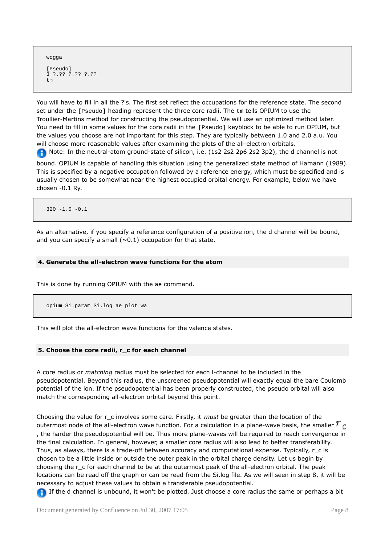```
wcqqa
[Pseudo]
3 ?.?? ?.?? ?.??
tm
```
You will have to fill in all the ?'s. The first set reflect the occupations for the reference state. The second set under the [Pseudo] heading represent the three core radii. The tm tells OPIUM to use the Troullier-Martins method for constructing the pseudopotential. We will use an optimized method later. You need to fill in some values for the core radii in the [Pseudo] keyblock to be able to run OPIUM, but the values you choose are not important for this step. They are typically between 1.0 and 2.0 a.u. You will choose more reasonable values after examining the plots of the all-electron orbitals. A Note: In the neutral-atom ground-state of silicon, i.e. (1s2 2s2 2p6 2s2 3p2), the d channel is not

bound. OPIUM is capable of handling this situation using the generalized state method of Hamann (1989). This is specified by a negative occupation followed by a reference energy, which must be specified and is usually chosen to be somewhat near the highest occupied orbital energy. For example, below we have chosen -0.1 Ry.

320 -1.0 -0.1

As an alternative, if you specify a reference configuration of a positive ion, the d channel will be bound, and you can specify a small ( $\sim$ 0.1) occupation for that state.

#### **4. Generate the all-electron wave functions for the atom**

This is done by running OPIUM with the ae command.

opium Si.param Si.log ae plot wa

This will plot the all-electron wave functions for the valence states.

#### **5. Choose the core radii, r\_c for each channel**

A core radius or *matching* radius must be selected for each l-channel to be included in the pseudopotential. Beyond this radius, the unscreened pseudopotential will exactly equal the bare Coulomb potential of the ion. If the pseudopotential has been properly constructed, the pseudo orbital will also match the corresponding all-electron orbital beyond this point.

Choosing the value for r\_c involves some care. Firstly, it *must* be greater than the location of the outermost node of the all-electron wave function. For a calculation in a plane-wave basis, the smaller  $r_c$ , the harder the pseudopotential will be. Thus more plane-waves will be required to reach convergence in the final calculation. In general, however, a smaller core radius will also lead to better transferability. Thus, as always, there is a trade-off between accuracy and computational expense. Typically, r\_c is chosen to be a little inside or outside the outer peak in the orbital charge density. Let us begin by choosing the r\_c for each channel to be at the outermost peak of the all-electron orbital. The peak locations can be read off the graph or can be read from the Si.log file. As we will seen in step 8, it will be necessary to adjust these values to obtain a transferable pseudopotential.

**If the d channel is unbound, it won't be plotted. Just choose a core radius the same or perhaps a bit**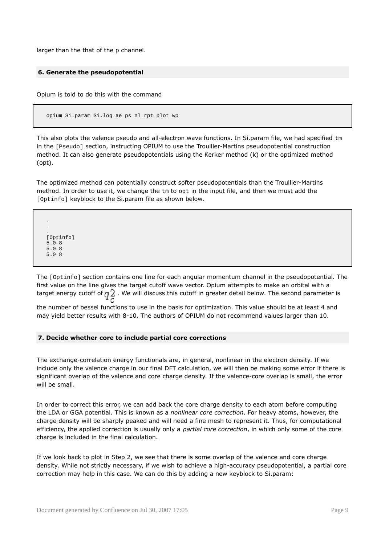larger than the that of the p channel.

#### **6. Generate the pseudopotential**

Opium is told to do this with the command

opium Si.param Si.log ae ps nl rpt plot wp

This also plots the valence pseudo and all-electron wave functions. In Si.param file, we had specified tm in the [Pseudo] section, instructing OPIUM to use the Troullier-Martins pseudopotential construction method. It can also generate pseudopotentials using the Kerker method (k) or the optimized method (opt).

The optimized method can potentially construct softer pseudopotentials than the Troullier-Martins method. In order to use it, we change the  $tm$  to  $opt$  in the input file, and then we must add the [Optinfo] keyblock to the Si.param file as shown below.

. . . [Optinfo] 5.0 8 5.0 8 5.0 8

The [Optinfo] section contains one line for each angular momentum channel in the pseudopotential. The first value on the line gives the target cutoff wave vector. Opium attempts to make an orbital with a target energy cutoff of  $q_2^0$ . We will discuss this cutoff in greater detail below. The second parameter is the number of bessel functions to use in the basis for optimization. This value should be at least 4 and may yield better results with 8-10. The authors of OPIUM do not recommend values larger than 10.

### **7. Decide whether core to include partial core corrections**

The exchange-correlation energy functionals are, in general, nonlinear in the electron density. If we include only the valence charge in our final DFT calculation, we will then be making some error if there is significant overlap of the valence and core charge density. If the valence-core overlap is small, the error will be small.

In order to correct this error, we can add back the core charge density to each atom before computing the LDA or GGA potential. This is known as a *nonlinear core correction*. For heavy atoms, however, the charge density will be sharply peaked and will need a fine mesh to represent it. Thus, for computational efficiency, the applied correction is usually only a *partial core correction*, in which only some of the core charge is included in the final calculation.

If we look back to plot in Step 2, we see that there is some overlap of the valence and core charge density. While not strictly necessary, if we wish to achieve a high-accuracy pseudopotential, a partial core correction may help in this case. We can do this by adding a new keyblock to Si.param: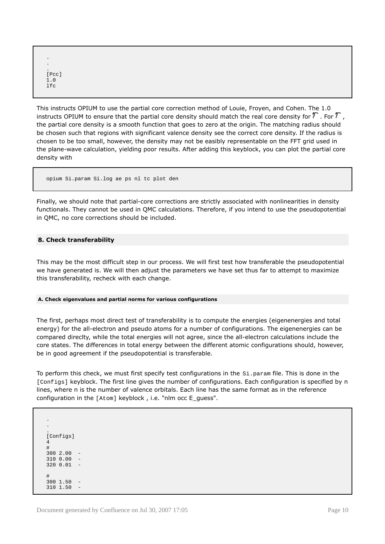```
.
.
.
[Pcc]
1.0
lfc
```
This instructs OPIUM to use the partial core correction method of Louie, Froyen, and Cohen. The 1.0 instructs OPIUM to ensure that the partial core density should match the real core density for  $T$ . For  $T$ , the partial core density is a smooth function that goes to zero at the origin. The matching radius should be chosen such that regions with significant valence density see the correct core density. If the radius is chosen to be too small, however, the density may not be easibly representable on the FFT grid used in the plane-wave calculation, yielding poor results. After adding this keyblock, you can plot the partial core density with

```
opium Si.param Si.log ae ps nl tc plot den
```
Finally, we should note that partial-core corrections are strictly associated with nonlinearities in density functionals. They cannot be used in QMC calculations. Therefore, if you intend to use the pseudopotential in QMC, no core corrections should be included.

# **8. Check transferability**

This may be the most difficult step in our process. We will first test how transferable the pseudopotential we have generated is. We will then adjust the parameters we have set thus far to attempt to maximize this transferability, recheck with each change.

#### **A. Check eigenvalues and partial norms for various configurations**

The first, perhaps most direct test of transferability is to compute the energies (eigenenergies and total energy) for the all-electron and pseudo atoms for a number of configurations. The eigenenergies can be compared direclty, while the total energies will not agree, since the all-electron calculations include the core states. The differences in total energy between the different atomic configurations should, however, be in good agreement if the pseudopotential is transferable.

To perform this check, we must first specify test configurations in the  $Si.$  param file. This is done in the [Configs] keyblock. The first line gives the number of configurations. Each configuration is specified by n lines, where n is the number of valence orbitals. Each line has the same format as in the reference configuration in the [Atom] keyblock , i.e. "nlm occ E\_guess".

. . . [Configs] 4 # 300 2.00 -  $3100.00$  $320001 =$ #  $3001.50$  $310$   $1.50$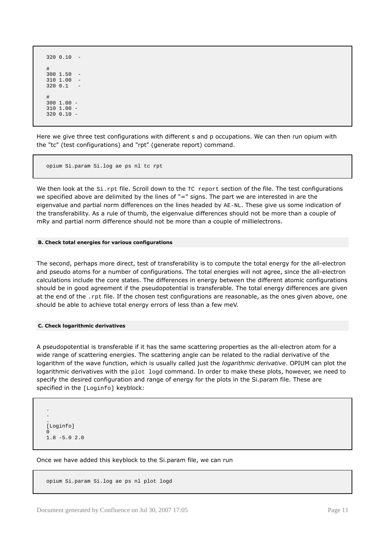320 0.10 - # 300 1.50 -  $3101.00 3200.1$ # 300 1.00 - 310 1.00 - 320 0.10 -

Here we give three test configurations with different s and p occupations. We can then run opium with the "tc" (test configurations) and "rpt" (generate report) command.

opium Si.param Si.log ae ps nl tc rpt

We then look at the  $Si$ . rpt file. Scroll down to the TC report section of the file. The test configurations we specified above are delimited by the lines of "=" signs. The part we are interested in are the eigenvalue and partial norm differences on the lines headed by AE-NL. These give us some indication of the transferability. As a rule of thumb, the eigenvalue differences should not be more than a couple of mRy and partial norm difference should not be more than a couple of millielectrons.

#### **B. Check total energies for various configurations**

The second, perhaps more direct, test of transferability is to compute the total energy for the all-electron and pseudo atoms for a number of configurations. The total energies will not agree, since the all-electron calculations include the core states. The differences in energy between the different atomic configurations should be in good agreement if the pseudopotential is transferable. The total energy differences are given at the end of the .rpt file. If the chosen test configurations are reasonable, as the ones given above, one should be able to achieve total energy errors of less than a few meV.

#### **C. Check logarithmic derivatives**

A pseudopotential is transferable if it has the same scattering properties as the all-electron atom for a wide range of scattering energies. The scattering angle can be related to the radial derivative of the logarithm of the wave function, which is usually called just the *logarithmic derivative*. OPIUM can plot the logarithmic derivatives with the  $plot$   $load$  command. In order to make these plots, however, we need to specify the desired configuration and range of energy for the plots in the Si.param file. These are specified in the [Loginfo] keyblock:

```
.
.
.
[Loginfo]
\Omega1.8 -5.0 2.0
```
Once we have added this keyblock to the Si.param file, we can run

opium Si.param Si.log ae ps nl plot logd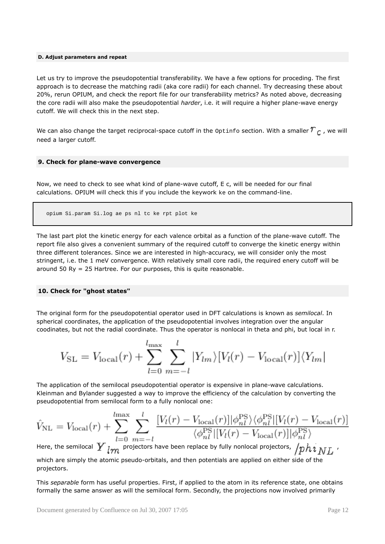#### **D. Adjust parameters and repeat**

Let us try to improve the pseudopotential transferability. We have a few options for proceding. The first approach is to decrease the matching radii (aka core radii) for each channel. Try decreasing these about 20%, rerun OPIUM, and check the report file for our transferability metrics? As noted above, decreasing the core radii will also make the pseudopotential *harder*, i.e. it will require a higher plane-wave energy cutoff. We will check this in the next step.

We can also change the target reciprocal-space cutoff in the  $\Phi$  optinfo section. With a smaller  $r_c$ , we will need a larger cutoff.

#### **9. Check for plane-wave convergence**

Now, we need to check to see what kind of plane-wave cutoff, E c, will be needed for our final calculations. OPIUM will check this if you include the keywork ke on the command-line.

```
opium Si.param Si.log ae ps nl tc ke rpt plot ke
```
The last part plot the kinetic energy for each valence orbital as a function of the plane-wave cutoff. The report file also gives a convenient summary of the required cutoff to converge the kinetic energy within three different tolerances. Since we are interested in high-accuracy, we will consider only the most stringent, i.e. the 1 meV convergence. With relatively small core radii, the required enery cutoff will be around 50 Ry = 25 Hartree. For our purposes, this is quite reasonable.

#### **10. Check for "ghost states"**

The original form for the pseudopotential operator used in DFT calculations is known as *semilocal*. In spherical coordinates, the application of the pseudopotential involves integration over the angular coodinates, but not the radial coordinate. Thus the operator is nonlocal in theta and phi, but local in r.

$$
V_{\rm SL} = V_{\rm local}(r) + \sum_{l=0}^{l_{\rm max}} \sum_{m=-l}^{l} |Y_{lm}\rangle [V_l(r) - V_{\rm local}(r)]\langle Y_{lm}|
$$

The application of the semilocal pseudopotential operator is expensive in plane-wave calculations. Kleinman and Bylander suggested a way to improve the efficiency of the calculation by converting the pseudopotential from semilocal form to a fully nonlocal one:

$$
\hat{V}_{\text{NL}} = V_{\text{local}}(r) + \sum_{l=0}^{l_{\text{max}}} \sum_{m=-l}^{l} \frac{[V_l(r) - V_{\text{local}}(r)] |\phi_{nl}^{\text{PS}}\rangle \langle \phi_{nl}^{\text{PS}} | [V_l(r) - V_{\text{local}}(r)] | \phi_{nl}^{\text{PS}} \rangle}{\langle \phi_{nl}^{\text{PS}} | [V_l(r) - V_{\text{local}}(r)] |\phi_{nl}^{\text{PS}} \rangle}
$$

Here, the semilocal  $\bm{Y}_{lm}$  projectors have been replace by fully nonlocal projectors,  $\sqrt{phi}\,_{NL}$  , which are simply the atomic pseudo-orbitals, and then potentials are applied on either side of the projectors.

This *separable* form has useful properties. First, if applied to the atom in its reference state, one obtains formally the same answer as will the semilocal form. Secondly, the projections now involved primarily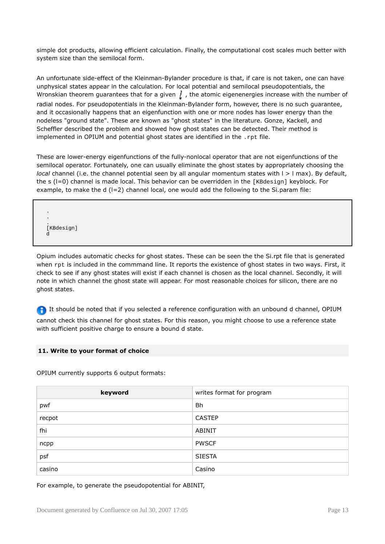simple dot products, allowing efficient calculation. Finally, the computational cost scales much better with system size than the semilocal form.

An unfortunate side-effect of the Kleinman-Bylander procedure is that, if care is not taken, one can have unphysical states appear in the calculation. For local potential and semilocal pseudopotentials, the Wronskian theorem guarantees that for a given  $\frac{1}{k}$ , the atomic eigenenergies increase with the number of radial nodes. For pseudopotentials in the Kleinman-Bylander form, however, there is no such guarantee, and it occasionally happens that an eigenfunction with one or more nodes has lower energy than the nodeless "ground state". These are known as "ghost states" in the literature. Gonze, Kackell, and Scheffler described the problem and showed how ghost states can be detected. Their method is implemented in OPIUM and potential ghost states are identified in the .rpt file.

These are lower-energy eigenfunctions of the fully-nonlocal operator that are not eigenfunctions of the semilocal operator. Fortunately, one can usually eliminate the ghost states by appropriately choosing the *local* channel (i.e. the channel potential seen by all angular momentum states with  $l > l$  max). By default, the s (I=0) channel is made local. This behavior can be overridden in the [KBdesign] keyblock. For example, to make the d  $(I=2)$  channel local, one would add the following to the Si.param file:

. . . [KBdesign] d

Opium includes automatic checks for ghost states. These can be seen the the Si.rpt file that is generated when  $\tau$ <sub>pt</sub> is included in the commmand line. It reports the existence of ghost states in two ways. First, it check to see if any ghost states will exist if each channel is chosen as the local channel. Secondly, it will note in which channel the ghost state will appear. For most reasonable choices for silicon, there are no ghost states.

**If** It should be noted that if you selected a reference configuration with an unbound d channel, OPIUM cannot check this channel for ghost states. For this reason, you might choose to use a reference state with sufficient positive charge to ensure a bound d state.

# **11. Write to your format of choice**

OPIUM currently supports 6 output formats:

| keyword | writes format for program |
|---------|---------------------------|
| pwf     | Bh                        |
| recpot  | <b>CASTEP</b>             |
| fhi     | <b>ABINIT</b>             |
| ncpp    | <b>PWSCF</b>              |
| psf     | <b>SIESTA</b>             |
| casino  | Casino                    |

For example, to generate the pseudopotential for ABINIT,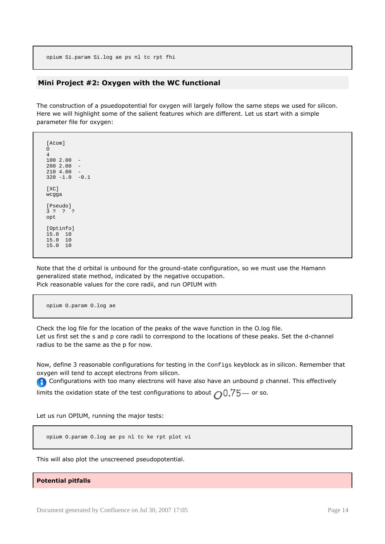opium Si.param Si.log ae ps nl tc rpt fhi

### **Mini Project #2: Oxygen with the WC functional**

The construction of a psuedopotential for oxygen will largely follow the same steps we used for silicon. Here we will highlight some of the salient features which are different. Let us start with a simple parameter file for oxygen:

[Atom] O 4  $100$  2.00 -<br>200 2.00 - $2002.00$ 210 4.00 - 320 -1.0 -0.1 [XC] wcgga [Pseudo] 3 ? ? ? opt [Optinfo] 15.0 10 15.0 10 15.0 10

Note that the d orbital is unbound for the ground-state configuration, so we must use the Hamann generalized state method, indicated by the negative occupation. Pick reasonable values for the core radii, and run OPIUM with

opium O.param O.log ae

Check the log file for the location of the peaks of the wave function in the O.log file. Let us first set the s and p core radii to correspond to the locations of these peaks. Set the d-channel radius to be the same as the p for now.

Now, define 3 reasonable configurations for testing in the Configs keyblock as in silicon. Remember that oxygen will tend to accept electrons from silicon.

**Configurations with too many electrons will have also have an unbound p channel. This effectively** 

limits the oxidation state of the test configurations to about  $\bigcap_{i=1}^{n}$   $\frac{75}{5}$  or so.

Let us run OPIUM, running the major tests:

opium O.param O.log ae ps nl tc ke rpt plot vi

This will also plot the unscreened pseudopotential.

**Potential pitfalls**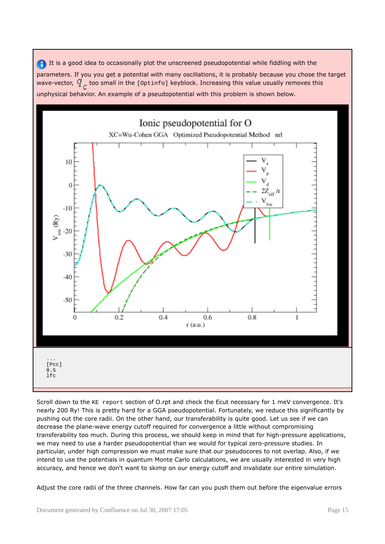It is a good idea to occasionally plot the unscreened pseudopotential while fiddling with the parameters. If you you get a potential with many oscillations, it is probably because you chose the target wave-vector,  $\mathcal{Y}$ , too small in the [Optinfo] keyblock. Increasing this value usually removes this unphysical behavior. An example of a pseudopotential with this problem is shown below.



Scroll down to the KE report section of O.rpt and check the Ecut necessary for 1 meV convergence. It's nearly 200 Ry! This is pretty hard for a GGA pseudopotential. Fortunately, we reduce this significantly by pushing out the core radii. On the other hand, our transferability is quite good. Let us see if we can decrease the plane-wave energy cutoff required for convergence a little without compromising transferability too much. During this process, we should keep in mind that for high-pressure applications, we may need to use a harder pseudopotential than we would for typical zero-pressure studies. In particular, under high compression we must make sure that our pseudocores to not overlap. Also, if we intend to use the potentials in quantum Monte Carlo calculations, we are usually interested in very high accuracy, and hence we don't want to skimp on our energy cutoff and invalidate our entire simulation.

Adjust the core radii of the three channels. How far can you push them out before the eigenvalue errors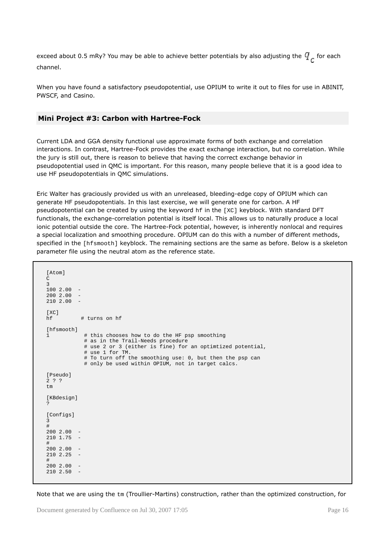exceed about 0.5 mRy? You may be able to achieve better potentials by also adjusting the  $q$  for each channel.

When you have found a satisfactory pseudopotential, use OPIUM to write it out to files for use in ABINIT, PWSCF, and Casino.

# **Mini Project #3: Carbon with Hartree-Fock**

Current LDA and GGA density functional use approximate forms of both exchange and correlation interactions. In contrast, Hartree-Fock provides the exact exchange interaction, but no correlation. While the jury is still out, there is reason to believe that having the correct exchange behavior in pseudopotential used in QMC is important. For this reason, many people believe that it is a good idea to use HF pseudopotentials in QMC simulations.

Eric Walter has graciously provided us with an unreleased, bleeding-edge copy of OPIUM which can generate HF pseudopotentials. In this last exercise, we will generate one for carbon. A HF pseudopotential can be created by using the keyword hf in the [XC] keyblock. With standard DFT functionals, the exchange-correlation potential is itself local. This allows us to naturally produce a local ionic potential outside the core. The Hartree-Fock potential, however, is inherently nonlocal and requires a special localization and smoothing procedure. OPIUM can do this with a number of different methods, specified in the [hfsmooth] keyblock. The remaining sections are the same as before. Below is a skeleton parameter file using the neutral atom as the reference state.

```
[Atom]
\Gamma3
1002.002002.0021020.00[XC]hf # turns on hf
[hfsmooth]
1 # this chooses how to do the HF psp smoothing
            # as in the Trail-Needs procedure
            # use 2 or 3 (either is fine) for an optimtized potential,
            # use 1 for TM.
            # To turn off the smoothing use: 0, but then the psp can
            # only be used within OPIUM, not in target calcs.
[Pseudo]
2 ? ?
tm
[KBdesign]
?
[Configs]
3
#
2002.00210 1.75#
200 2.00 -
210 2.25 -
#
200 2.00 -
210, 2.50
```
Note that we are using the  $tm$  (Troullier-Martins) construction, rather than the optimized construction, for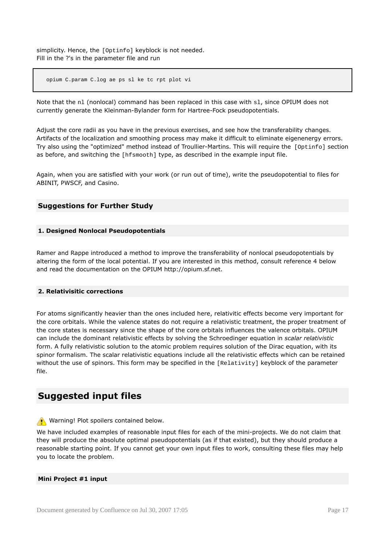simplicity. Hence, the [Optinfo] keyblock is not needed. Fill in the ?'s in the parameter file and run

opium C.param C.log ae ps sl ke tc rpt plot vi

Note that the nl (nonlocal) command has been replaced in this case with sl, since OPIUM does not currently generate the Kleinman-Bylander form for Hartree-Fock pseudopotentials.

Adjust the core radii as you have in the previous exercises, and see how the transferability changes. Artifacts of the localization and smoothing process may make it difficult to eliminate eigenenergy errors. Try also using the "optimized" method instead of Troullier-Martins. This will require the [Optinfo] section as before, and switching the [hfsmooth] type, as described in the example input file.

Again, when you are satisfied with your work (or run out of time), write the pseudopotential to files for ABINIT, PWSCF, and Casino.

# **Suggestions for Further Study**

#### **1. Designed Nonlocal Pseudopotentials**

Ramer and Rappe introduced a method to improve the transferability of nonlocal pseudopotentials by altering the form of the local potential. If you are interested in this method, consult reference 4 below and read the documentation on the OPIUM http://opium.sf.net.

#### **2. Relativisitic corrections**

For atoms significantly heavier than the ones included here, relativitic effects become very important for the core orbitals. While the valence states do not require a relativistic treatment, the proper treatment of the core states is necessary since the shape of the core orbitals influences the valence orbitals. OPIUM can include the dominant relativistic effects by solving the Schroedinger equation in *scalar relativistic* form. A fully relativistic solution to the atomic problem requires solution of the Dirac equation, with its spinor formalism. The scalar relativistic equations include all the relativistic effects which can be retained without the use of spinors. This form may be specified in the [Relativity] keyblock of the parameter file.

# **Suggested input files**

Warning! Plot spoilers contained below.

We have included examples of reasonable input files for each of the mini-projects. We do not claim that they will produce the absolute optimal pseudopotentials (as if that existed), but they should produce a reasonable starting point. If you cannot get your own input files to work, consulting these files may help you to locate the problem.

#### **Mini Project #1 input**